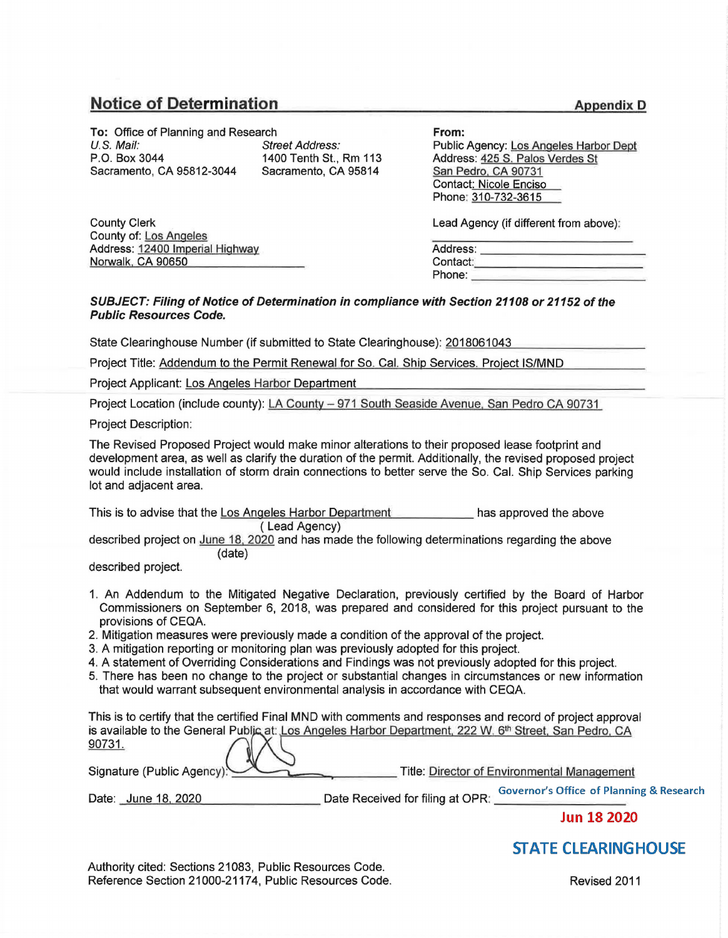# **Notice of Determination**

**To: Office of Planning and Research U.S. Mail:** Street U.S. Mail: Street Address:<br>
P.O. Box 3044 1400 Tenth St.. 1400 Tenth St., Rm 113<br>Sacramento, CA 95814 Sacramento, CA 95812-3044

County Clerk County of: Los Angeles Address: 12400 Imperial Highway **Norwalk CA** 90650

**From:** 

Public Agency: Los Angeles Harbor Dept Address: 425 S. Palos Verdes St San Pedro, CA 90731 Contact: Nicole Enciso Phone: 310-732-3615

Lead Agency (if different from above):

Address:  $\blacksquare$ Address: \_\_\_\_\_\_\_\_\_\_\_\_\_\_\_\_\_\_\_\_\_\_\_\_\_\_\_\_\_\_<br>Contact:\_\_\_\_\_\_\_\_\_\_\_\_\_\_\_\_\_\_\_\_\_\_\_\_\_\_\_\_\_\_\_ Contact:\_\_\_\_\_\_\_\_\_\_\_\_\_\_\_\_\_\_\_\_\_\_\_\_\_\_\_\_\_<br>Phone: \_\_\_\_\_\_\_\_\_\_\_\_\_\_\_\_\_\_\_\_\_\_\_\_\_\_\_\_\_\_\_\_\_\_

## **SUBJECT: Filing of Notice of Determination in compliance with Section 21108 or 21152 of the Public Resources Code.**

State Clearinghouse Number (if submitted to State Clearinghouse): 2018061043

Project Title: Addendum to the Permit Renewal for So. Cal. Ship Services. Project IS/MND

Project Applicant: Los Angeles Harbor Department

Project Location (include county): LA County - 971 South Seaside Avenue. San Pedro CA 90731

Project Description:

The Revised Proposed Project would make minor alterations to their proposed lease footprint and development area, as well as clarify the duration of the permit. Additionally, the revised proposed project would include installation of storm drain connections to better serve the So. Cal. Ship Services parking lot and adjacent area.

This is to advise that the Los Angeles Harbor Department has approved the above ( Lead Agency)

described project on June 18, 2020 and has made the following determinations regarding the above (date)

described project.

- 1. An Addendum to the Mitigated Negative Declaration, previously certified by the Board of Harbor Commissioners on September 6, 2018, was prepared and considered for this project pursuant to the provisions of CEQA.
- 2. Mitigation measures were previously made a condition of the approval of the project.
- 3. A mitigation reporting or monitoring plan was previously adopted for this project.
- 4. A statement of Overriding Considerations and Findings was not previously adopted for this project.
- 5. There has been no change to the project or substantial changes in circumstances or new information that would warrant subsequent environmental analysis in accordance with CEQA.

This is to certify that the certified Final MND with comments and responses and record of project approval is available to the General Public at: <u>Los Angeles Harbor Department, 222 W. 6th Street, San Pedro, CA</u> 90731.

Signature (Public Agency): Title: Director of Environmental Management

Date: <u>June 18, 2020 Date Received for filing at OPR: Governor's Office of Planning & Research</u>

**Jun 18 2020** 

**STATE CLEARINGHOUSE** 

Authority cited: Sections 21083, Public Resources Code. Reference Section 21000-21174, Public Resources Code. The revised 2011 Revised 2011

## **Appendix D**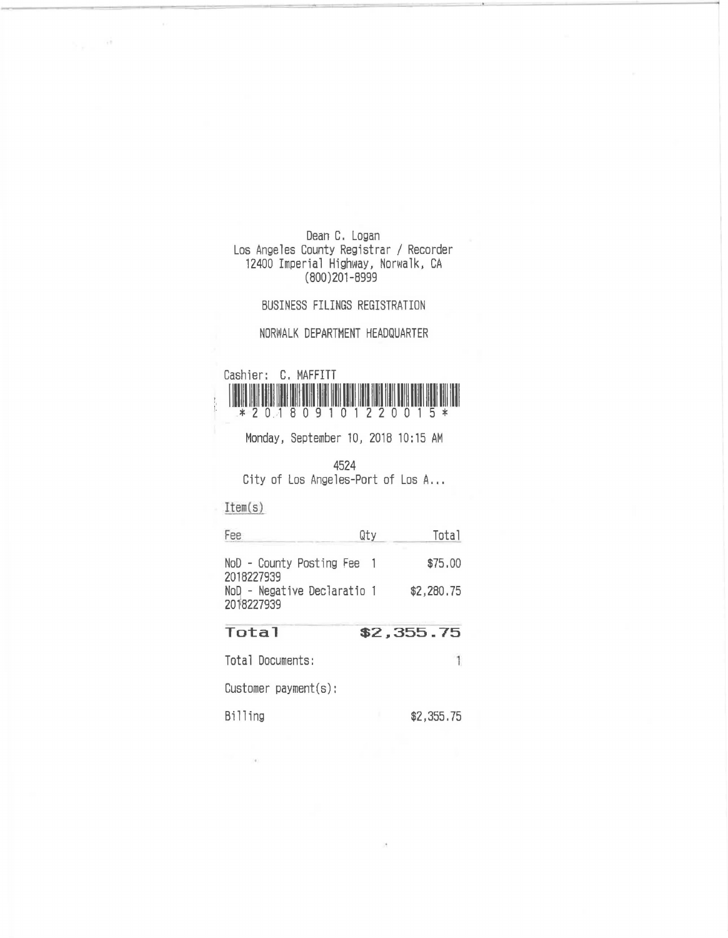Dean C. Logan Los Angeles County Registrar/ Recorder 12400 Imperial Highway, Norwalk, CA (800)201-8999

### BUSINESS FILINGS REGISTRATION

## NORWALK DEPARTMENT HEADQUARTER



Monday, September 10, 2018 10:15 AM

#### 4524

City of Los Angeles-Port of Los A...

## Item (s)

 $\omega_{\rm{p}}=-\sigma^2$ 

| Fee                                       | Qty | Total      |
|-------------------------------------------|-----|------------|
| NoD - County Posting Fee 1<br>2018227939  |     | \$75,00    |
| NoD - Negative Declaratio 1<br>2018227939 |     | \$2,280.75 |
| Total                                     |     | \$2,355.75 |
| Total Documents:                          |     |            |
| $Customer$ payment $(s)$ :                |     |            |
| Billing                                   |     | \$2,355.75 |